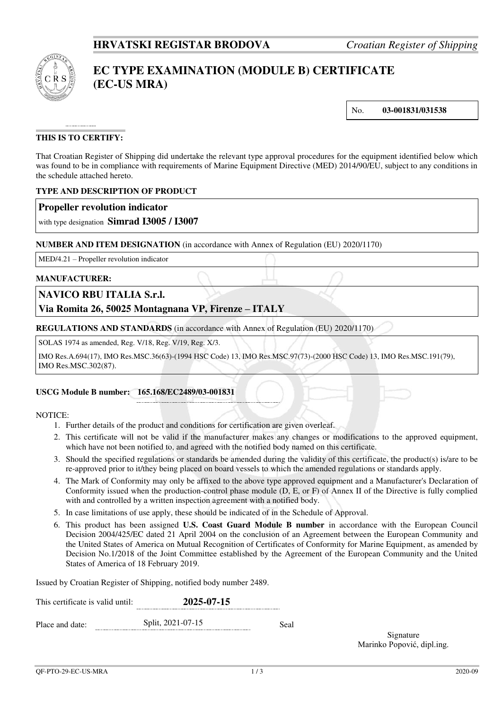

# **EC TYPE EXAMINATION (MODULE B) CERTIFICATE (EC-US MRA)**

No. **03-001831/031538**

## **THIS IS TO CERTIFY:**

That Croatian Register of Shipping did undertake the relevant type approval procedures for the equipment identified below which was found to be in compliance with requirements of Marine Equipment Directive (MED) 2014/90/EU, subject to any conditions in the schedule attached hereto.

## **TYPE AND DESCRIPTION OF PRODUCT**

## **Propeller revolution indicator**

with type designation **Simrad I3005 / I3007**

#### **NUMBER AND ITEM DESIGNATION** (in accordance with Annex of Regulation (EU) 2020/1170)

MED/4.21 – Propeller revolution indicator

#### **MANUFACTURER:**

## **NAVICO RBU ITALIA S.r.l.**

## **Via Romita 26, 50025 Montagnana VP, Firenze – ITALY**

**REGULATIONS AND STANDARDS** (in accordance with Annex of Regulation (EU) 2020/1170)

SOLAS 1974 as amended, Reg. V/18, Reg. V/19, Reg. X/3.

IMO Res.A.694(17), IMO Res.MSC.36(63)-(1994 HSC Code) 13, IMO Res.MSC.97(73)-(2000 HSC Code) 13, IMO Res.MSC.191(79), IMO Res.MSC.302(87).

#### **USCG Module B number: 165.168/EC2489/03-001831**

#### NOTICE:

- 1. Further details of the product and conditions for certification are given overleaf.
- 2. This certificate will not be valid if the manufacturer makes any changes or modifications to the approved equipment, which have not been notified to, and agreed with the notified body named on this certificate.
- 3. Should the specified regulations or standards be amended during the validity of this certificate, the product(s) is/are to be re-approved prior to it/they being placed on board vessels to which the amended regulations or standards apply.
- 4. The Mark of Conformity may only be affixed to the above type approved equipment and a Manufacturer's Declaration of Conformity issued when the production-control phase module (D, E, or F) of Annex II of the Directive is fully complied with and controlled by a written inspection agreement with a notified body.
- 5. In case limitations of use apply, these should be indicated of in the Schedule of Approval.
- 6. This product has been assigned **U.S. Coast Guard Module B number** in accordance with the European Council Decision 2004/425/EC dated 21 April 2004 on the conclusion of an Agreement between the European Community and the United States of America on Mutual Recognition of Certificates of Conformity for Marine Equipment, as amended by Decision No.1/2018 of the Joint Committee established by the Agreement of the European Community and the United States of America of 18 February 2019.

Issued by Croatian Register of Shipping, notified body number 2489.

| This certificate is valid until: | 2025-07-15        |      |  |  |
|----------------------------------|-------------------|------|--|--|
| Place and date:                  | Split, 2021-07-15 | Seal |  |  |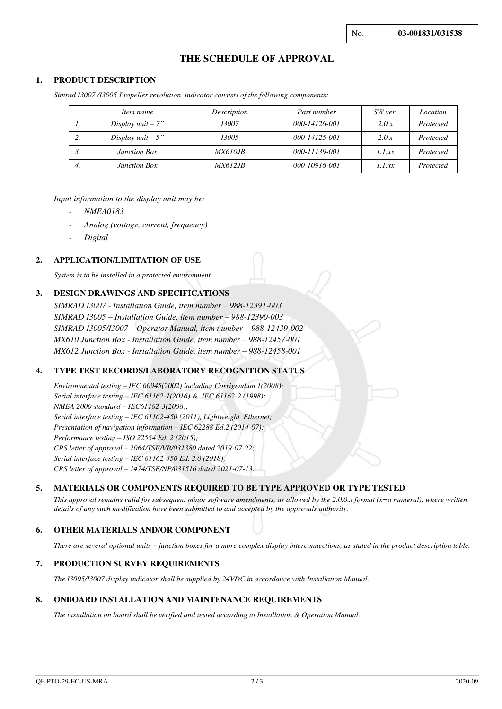## **THE SCHEDULE OF APPROVAL**

#### **1. PRODUCT DESCRIPTION**

*Simrad I3007 /I3005 Propeller revolution indicator consists of the following components:* 

|         | Item name            | Description     | Part number   | SW ver. | Location  |
|---------|----------------------|-----------------|---------------|---------|-----------|
| . .     | Display $unit - 7"$  | 13007           | 000-14126-001 | 2.0.x   | Protected |
| ◠<br>۷. | Display $unit - 5$ " | 13005           | 000-14125-001 | 2.0.x   | Protected |
| J.      | <b>Junction Box</b>  | <i>MX610JB</i>  | 000-11139-001 | 1.1 xx  | Protected |
| 4.      | <b>Junction Box</b>  | <i>MX612.IB</i> | 000-10916-001 | 1.1 xx  | Protected |

#### *Input information to the display unit may be:*

- *NMEA0183*
- *Analog (voltage, current, frequency)*
- *Digital*

#### **2. APPLICATION/LIMITATION OF USE**

*System is to be installed in a protected environment.*

#### **3. DESIGN DRAWINGS AND SPECIFICATIONS**

*SIMRAD I3007 - Installation Guide, item number – 988-12391-003 SIMRAD I3005 – Installation Guide, item number – 988-12390-003 SIMRAD I3005/I3007 – Operator Manual, item number – 988-12439-002 MX610 Junction Box - Installation Guide, item number – 988-12457-001 MX612 Junction Box - Installation Guide, item number – 988-12458-001* 

#### **4. TYPE TEST RECORDS/LABORATORY RECOGNITION STATUS**

*Environmental testing – IEC 60945(2002) including Corrigendum 1(2008); Serial interface testing – IEC 61162-1(2016) & IEC 61162-2 (1998); NMEA 2000 standard – IEC61162-3(2008); Serial interface testing – IEC 61162-450 (2011), Lightweight Ethernet; Presentation of navigation information – IEC 62288 Ed.2 (2014-07); Performance testing – ISO 22554 Ed. 2 (2015); CRS letter of approval – 2064/TSE/VB/031380 dated 2019-07-22; Serial interface testing – IEC 61162-450 Ed. 2.0 (2018); CRS letter of approval – 1474/TSE/NP/031516 dated 2021-07-13.*

#### **5. MATERIALS OR COMPONENTS REQUIRED TO BE TYPE APPROVED OR TYPE TESTED**

*This approval remains valid for subsequent minor software amendments, as allowed by the 2.0.0.x format (x=a numeral), where written details of any such modification have been submitted to and accepted by the approvals authority.*

#### **6. OTHER MATERIALS AND/OR COMPONENT**

*There are several optional units – junction boxes for a more complex display interconnections, as stated in the product description table.* 

#### **7. PRODUCTION SURVEY REQUIREMENTS**

*The I3005/I3007 display indicator shall be supplied by 24VDC in accordance with Installation Manual.* 

#### **8. ONBOARD INSTALLATION AND MAINTENANCE REQUIREMENTS**

*The installation on board shall be verified and tested according to Installation & Operation Manual.*